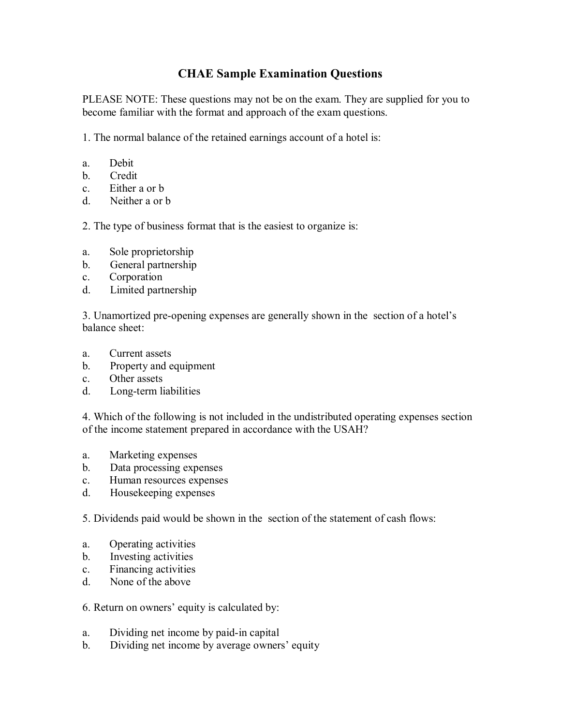## **CHAE Sample Examination Questions**

PLEASE NOTE: These questions may not be on the exam. They are supplied for you to become familiar with the format and approach of the exam questions.

1. The normal balance of the retained earnings account of a hotel is:

- a. Debit
- b. Credit
- c. Either a or b
- d. Neither a or b

2. The type of business format that is the easiest to organize is:

- a. Sole proprietorship
- b. General partnership
- c. Corporation
- d. Limited partnership

3. Unamortized pre-opening expenses are generally shown in the section of a hotel's balance sheet:

- a. Current assets
- b. Property and equipment
- c. Other assets
- d. Long-term liabilities

4. Which of the following is not included in the undistributed operating expenses section of the income statement prepared in accordance with the USAH?

- a. Marketing expenses
- b. Data processing expenses
- c. Human resources expenses
- d. Housekeeping expenses

5. Dividends paid would be shown in the section of the statement of cash flows:

- a. Operating activities
- b. Investing activities
- c. Financing activities
- d. None of the above

## 6. Return on owners' equity is calculated by:

- a. Dividing net income by paid-in capital
- b. Dividing net income by average owners' equity